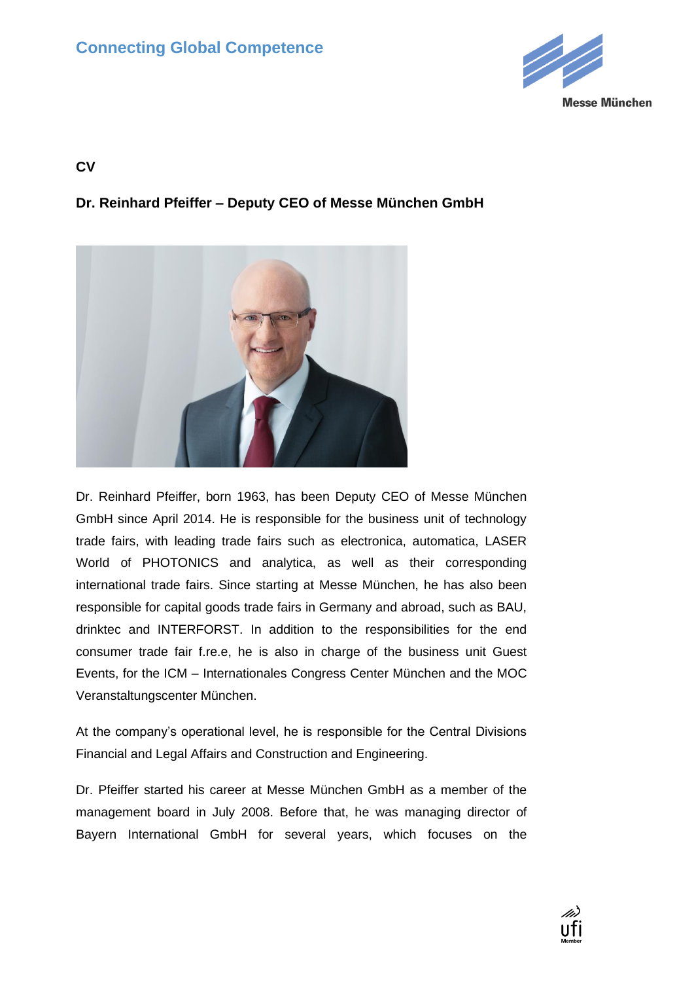

## **CV**

## **Dr. Reinhard Pfeiffer – Deputy CEO of Messe München GmbH**



Dr. Reinhard Pfeiffer, born 1963, has been Deputy CEO of Messe München GmbH since April 2014. He is responsible for the business unit of technology trade fairs, with leading trade fairs such as electronica, automatica, LASER World of PHOTONICS and analytica, as well as their corresponding international trade fairs. Since starting at Messe München, he has also been responsible for capital goods trade fairs in Germany and abroad, such as BAU, drinktec and INTERFORST. In addition to the responsibilities for the end consumer trade fair f.re.e, he is also in charge of the business unit Guest Events, for the ICM – Internationales Congress Center München and the MOC Veranstaltungscenter München.

At the company's operational level, he is responsible for the Central Divisions Financial and Legal Affairs and Construction and Engineering.

Dr. Pfeiffer started his career at Messe München GmbH as a member of the management board in July 2008. Before that, he was managing director of Bayern International GmbH for several years, which focuses on the